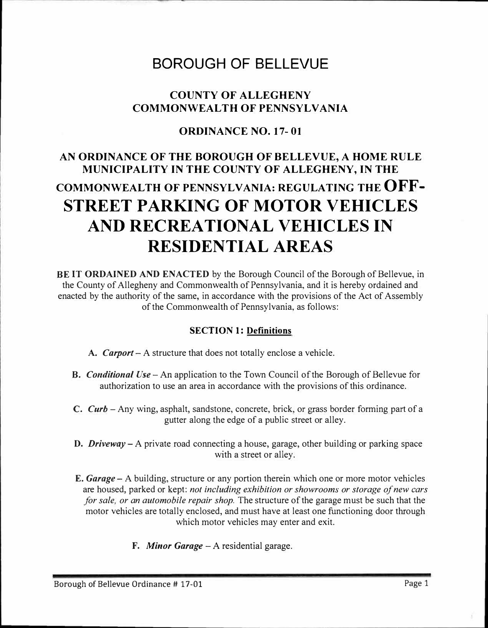# BOROUGH OF BELLEVUE

## **COUNTY OF ALLEGHENY COMMONWEAL TH OF PENNSYLVANIA**

### **ORDINANCE NO. 17- 01**

# **AN ORDINANCE OF THE BOROUGH OF BELLEVUE, A HOME RULE MUNICIPALITY IN THE COUNTY OF ALLEGHENY, IN THE COMMONWEALTH OF PENNSYLVANIA: REGULATING THE OFF-STREET PARKING OF MOTOR VEHICLES AND RECREATIONAL VEHICLES IN RESIDENTIAL AREAS**

**BE IT ORDAINED AND ENACTED** by the Borough Council of the Borough of Bellevue, in the County of Allegheny and Commonwealth of Pennsylvania, and it is hereby ordained and enacted by the authority of the same, in accordance with the provisions of the Act of Assembly of the Commonwealth of Pennsylvania, as follows:

#### **SECTION 1: Definitions**

- **A.** *Carport*  A structure that does not totally enclose a vehicle.
- **B.** *Conditional Use* An application to the Town Council of the Borough of Bellevue for authorization to use an area in accordance with the provisions of this ordinance.
- C. *Curb*  Any wing, asphalt, sandstone, concrete, brick, or grass border forming part of a gutter along the edge of a public street or alley.
- **D.** *Driveway-A* private road connecting a house, garage, other building or parking space with a street or alley.
- **E.** *Garage*  A building, structure or any portion therein which one or more motor vehicles are housed, parked or kept: *not including exhibition or showrooms or storage of new cars for sale, or an automobile repair shop.* The structure of the garage must be such that the motor vehicles are totally enclosed, and must have at least one functioning door through which motor vehicles may enter and exit.
	- F. *Minor Garage-A* residential garage.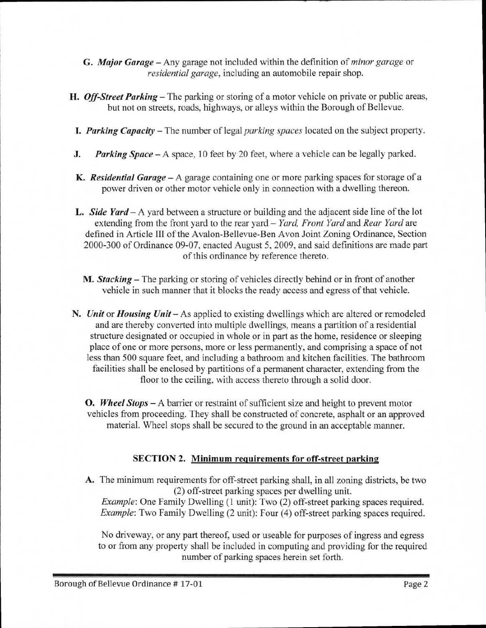- G. *Major Garage* Any garage not included within the definition of *minor garage* or *residential garage,* including an automobile repair shop.
- *H. Off-Street Parking* The parking or storing of a motor vehicle on private or public areas, but not on streets, roads, highways, or alleys within the Borough of Bellevue.
	- *I. Parking Capacity* The number of legal *parking spaces* located on the subject property.
- *J. Parking Space* A space, 10 feet by 20 feet, where a vehicle can be legally parked.
- *K. Residential Garage* A garage containing one or more parking spaces for storage of a power driven or other motor vehicle only in connection with a dwelling thereon.
- **L.** Side Yard A yard between a structure or building and the adjacent side line of the lot extending from the front yard to the rear yard — *Yard, Front Yard* and *Rear Yard* are defined in Article III of the Avalon-Bellevue-Ben Avon Joint Zoning Ordinance, Section 2000-300 of Ordinance 09-07, enacted August 5, 2009, and said definitions are made part of this ordinance by reference thereto.
	- *M. Stacking* The parking or storing of vehicles directly behind or in front of another vehicle in such manner that it blocks the ready access and egress of that vehicle.
- *N. Unit* or *Housing Unit* As applied to existing dwellings which are altered or remodeled and are thereby converted into multiple dwellings, means a partition of a residential structure designated or occupied in whole or in part as the home, residence or sleeping place of one or more persons, more or less permanently, and comprising a space of not less than 500 square feet, and including a bathroom and kitchen facilities. The bathroom facilities shall be enclosed by partitions of a permanent character, extending from the floor to the ceiling, with access thereto through a solid door.
	- **0.** *Wheel Stops* A barrier or restraint of sufficient size and height to prevent motor vehicles from proceeding. They shall be constructed of concrete, asphalt or an approved material. Wheel stops shall be secured to the ground in an acceptable manner.

#### **SECTION 2. Minimum requirements for off-street parking**

**A.** The minimum requirements for off-street parking shall, in all zoning districts, be two (2) off-street parking spaces per dwelling unit. *Example:* One Family Dwelling **(1** unit): Two (2) off-street parking spaces required.

*Example*: Two Family Dwelling (2 unit): Four (4) off-street parking spaces required.

No driveway, or any part thereof, used or useable for purposes of ingress and egress to or from any property shall be included in computing and providing for the required number of parking spaces herein set forth.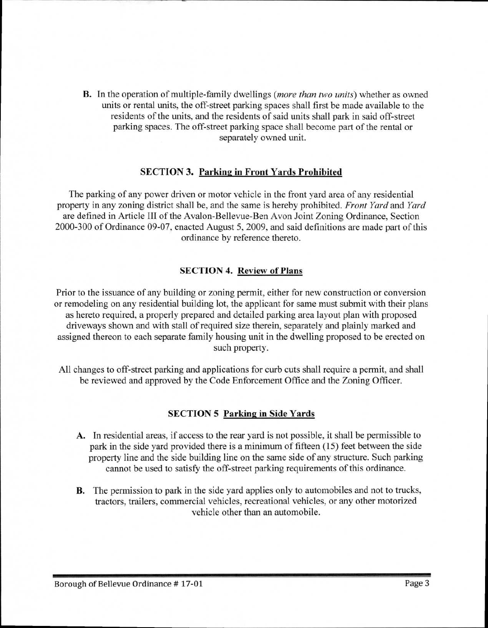**B.** In the operation of multiple-family dwellings *(more than two units)* whether as owned units or rental units, the off-street parking spaces shall first be made available to the residents of the units, and the residents of said units shall park in said off-street parking spaces. The off-street parking space shall become part of the rental or separately owned unit.

#### **SECTION 3. Parking in Front Yards Prohibited**

The parking of any power driven or motor vehicle in the front yard area of any residential property in any zoning district shall be, and the same is hereby prohibited. *Front Yard* and *Yard*  are defined in Article III of the Avalon-Bellevue-Ben Avon Joint Zoning Ordinance, Section 2000-300 of Ordinance 09-07, enacted August 5, 2009, and said definitions are made part of this ordinance by reference thereto.

#### **SECTION 4. Review of Plans**

Prior to the issuance of any building or zoning permit, either for new construction or conversion or remodeling on any residential building lot, the applicant for same must submit with their plans as hereto required, a properly prepared and detailed parking area layout plan with proposed driveways shown and with stall of required size therein, separately and plainly marked and assigned thereon to each separate family housing unit in the dwelling proposed to be erected on such property.

All changes to off-street parking and applications for curb cuts shall require a permit, and shall be reviewed and approved by the Code Enforcement Office and the Zoning Officer.

#### **SECTION 5 Parking in Side Yards**

- A. In residential areas, if access to the rear yard is not possible, it shall be permissible to park in the side yard provided there is a minimum of fifteen (15) feet between the side property line and the side building line on the same side of any structure. Such parking cannot be used to satisfy the off-street parking requirements of this ordinance.
- B. The permission to park in the side yard applies only to automobiles and not to trucks, tractors, trailers, commercial vehicles, recreational vehicles, or any other motorized vehicle other than an automobile.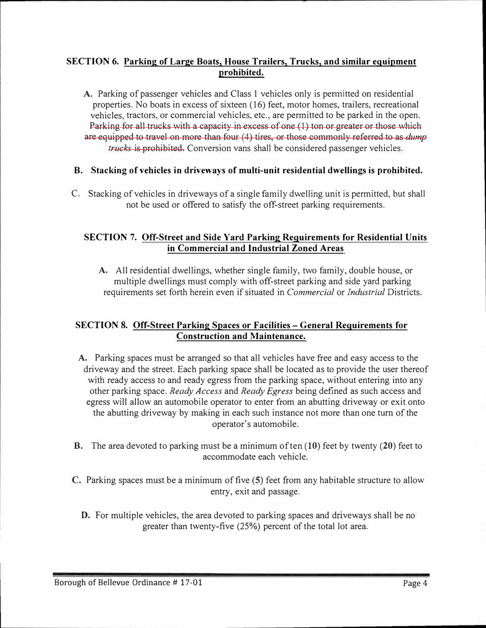#### **SECTION 6. Parking of Large Boats, House Trailers, Trucks, and similar equipment prohibited.**

A. Parking of passenger vehicles and Class 1 vehicles only is permitted on residential properties. No boats in excess of sixteen (16) feet, motor homes, trailers, recreational vehicles, tractors, or commercial vehicles, etc., are permitted to be parked in the open. Parking for all trucks with a capacity in excess of one (1) ton or greater or those which are equipped to travel on more than four (4) tires, or those commonly referred to as *dump trucks* is prohibited. Conversion vans shall be considered passenger vehicles.

#### **B. Stacking of vehicles in driveways of multi-unit residential dwellings is prohibited.**

C. Stacking of vehicles in driveways of a single family dwelling unit is permitted, but shall not be used or offered to satisfy the off-street parking requirements.

#### **SECTION 7. Off-Street and Side Yard Parking Requirements for Residential Units in Commercial and Industrial Zoned Areas**

**A.** All residential dwellings, whether single family, two family, double house, or multiple dwellings must comply with off-street parking and side yard parking requirements set forth herein even if situated in *Commercial* or *Indus/rial* Districts.

#### **SECTION 8. Off-Street Parking Spaces or Facilities - General Requirements for Construction and Maintenance.**

- **A.** Parking spaces must be arranged so that all vehicles have free and easy access to the driveway and the street. Each parking space shall be located as to provide the user thereof with ready access to and ready egress from the parking space, without entering into any other parking space. *Ready Access* and *Ready Egress* being defined as such access and egress will allow an automobile operator to enter from an abutting driveway or exit onto the abutting driveway by making in each such instance not more than one tum of the operator's automobile.
- **B.** The area devoted to parking must be a minimum of ten **(10)** feet by twenty **(20)** feet to accommodate each vehicle.
- **C.** Parking spaces must be a minimum of five **(5)** feet from any habitable structure to allow entry, exit and passage.
	- **D.** For multiple vehicles, the area devoted to parking spaces and driveways shall be no greater than twenty-five (25%) percent of the total lot area.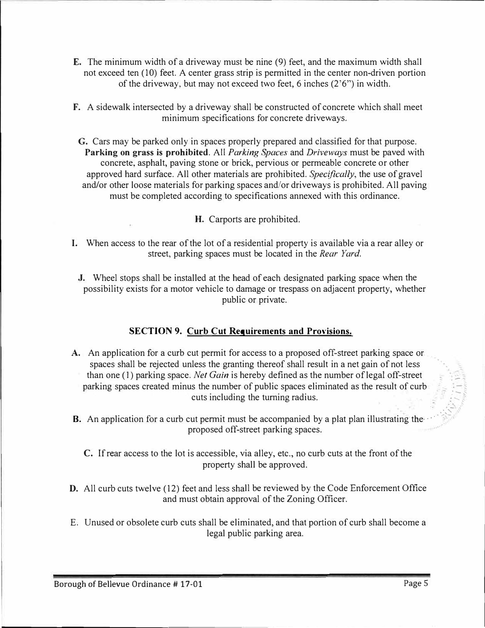- E. The minimum width of a driveway must be nine (9) feet, and the maximum width shall not exceed ten (10) feet. A center grass strip is permitted in the center non-driven portion of the driveway, but may not exceed two feet, 6 inches  $(2<sup>3</sup>6<sup>3</sup>)$  in width.
- F. A sidewalk intersected by a driveway shall be constructed of concrete which shall meet minimum specifications for concrete driveways.
- **G.** Cars may be parked only in spaces properly prepared and classified for that purpose. **Parking on grass is prohibited.** All *Parking Spaces* and *Driveways* must be paved with concrete, asphalt, paving stone or brick, pervious or permeable concrete or other approved hard surface. All other materials are prohibited. *Specifically,* the use of gravel and/or other loose materials for parking spaces and/or driveways is prohibited. All paving must be completed according to specifications annexed with this ordinance.
	- *H.* Carports are prohibited.
- I. When access to the rear of the lot of a residential property is available via a rear alley or street, parking spaces must be located in the *Rear Yard.* 
	- J. Wheel stops shall be installed at the head of each designated parking space when the possibility exists for a motor vehicle to damage or trespass on adjacent property, whether public or private.

#### **SECTION 9. Curb Cut Requirements and Provisions.**

- A. An application for a curb cut permit for access to a proposed off-street parking space or spaces shall be rejected unless the granting thereof shall result in a net gain of not less than one (1) parking space. *Net Gain* is hereby defined as the number of legal off-street parking spaces created minus the number of public spaces eliminated as the result of curb cuts including the turning radius.
- **B.** An application for a curb cut permit must be accompanied by a plat plan illustrating the proposed off-street parking spaces. ·
	- C. lf rear access to the lot is accessible, via alley, etc., no curb cuts at the front of the property shall be approved.
- D. All curb cuts twelve (12) feet and less shall be reviewed by the Code Enforcement Office and must obtain approval of the Zoning Officer.
- E. Unused or obsolete curb cuts shall be eliminated, and that portion of curb shall become a legal public parking area.

.-- *:* ....... *'*  .  $\sim$ . ·,'